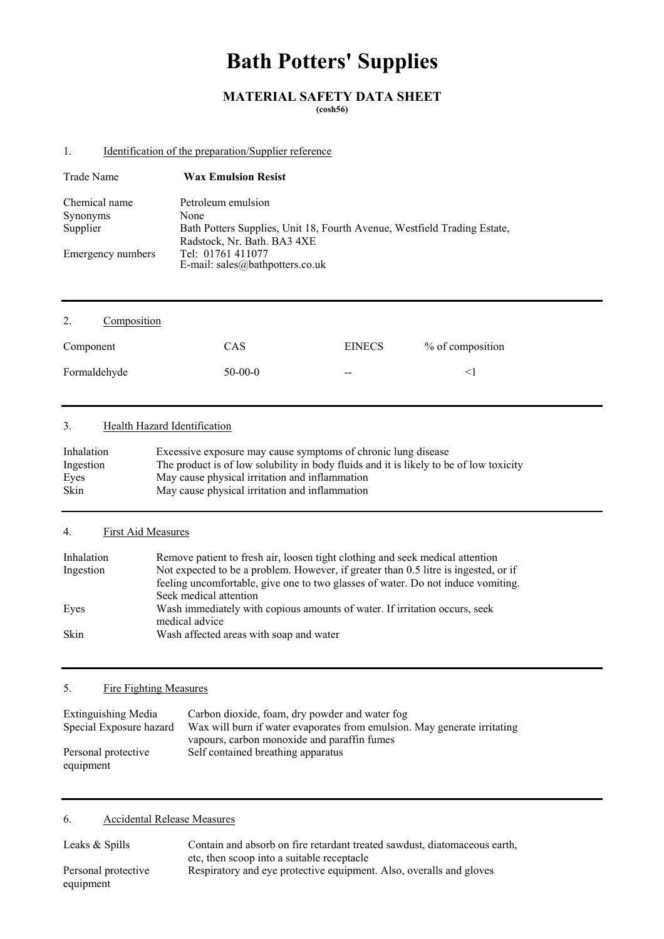# **Bath Potters' Supplies**

## **MATERIAL SAFETY DATA SHEET**

**(cosh56)** 

## 1. Identification of the preparation/Supplier reference

| Trade Name        | <b>Wax Emulsion Resist</b>                                               |
|-------------------|--------------------------------------------------------------------------|
| Chemical name     | Petroleum emulsion                                                       |
| Synonyms          | None                                                                     |
| Supplier          | Bath Potters Supplies, Unit 18, Fourth Avenue, Westfield Trading Estate, |
|                   | Radstock, Nr. Bath. BA3 4XE                                              |
| Emergency numbers | Tel: 01761 411077<br>E-mail: sales@bathpotters.co.uk                     |

| 2.<br>Composition |           |                          |                  |
|-------------------|-----------|--------------------------|------------------|
| Component         | CAS       | <b>EINECS</b>            | % of composition |
| Formaldehyde      | $50-00-0$ | $\overline{\phantom{m}}$ | $\leq$ 1         |

## 3. Health Hazard Identification

| Inhalation | Excessive exposure may cause symptoms of chronic lung disease                          |
|------------|----------------------------------------------------------------------------------------|
| Ingestion  | The product is of low solubility in body fluids and it is likely to be of low toxicity |
| Eyes       | May cause physical irritation and inflammation                                         |
| Skin       | May cause physical irritation and inflammation                                         |

## 4. First Aid Measures

| Inhalation | Remove patient to fresh air, loosen tight clothing and seek medical attention                |
|------------|----------------------------------------------------------------------------------------------|
| Ingestion  | Not expected to be a problem. However, if greater than 0.5 litre is ingested, or if          |
|            | feeling uncomfortable, give one to two glasses of water. Do not induce vomiting.             |
|            | Seek medical attention                                                                       |
| Eves       | Wash immediately with copious amounts of water. If irritation occurs, seek<br>medical advice |
| Skin       | Wash affected areas with soap and water                                                      |

## 5. Fire Fighting Measures

| Extinguishing Media     | Carbon dioxide, foam, dry powder and water fog                           |
|-------------------------|--------------------------------------------------------------------------|
| Special Exposure hazard | Wax will burn if water evaporates from emulsion. May generate irritating |
|                         | vapours, carbon monoxide and paraffin fumes                              |
| Personal protective     | Self contained breathing apparatus                                       |
| equipment               |                                                                          |

## 6. Accidental Release Measures

| Leaks & Spills      | Contain and absorb on fire retardant treated sawdust, diatomaceous earth, |  |  |
|---------------------|---------------------------------------------------------------------------|--|--|
|                     | etc, then scoop into a suitable receptacle                                |  |  |
| Personal protective | Respiratory and eye protective equipment. Also, overalls and gloves       |  |  |
| equipment           |                                                                           |  |  |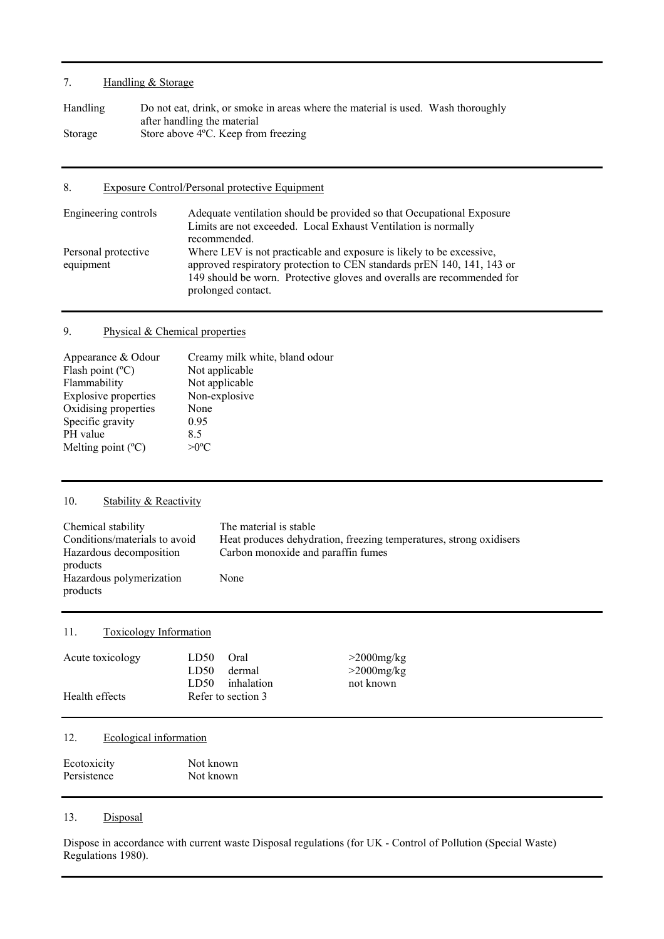## 7. Handling & Storage

| Handling | Do not eat, drink, or smoke in areas where the material is used. Wash thoroughly |
|----------|----------------------------------------------------------------------------------|
|          | after handling the material                                                      |
| Storage  | Store above 4 °C. Keep from freezing                                             |

## 8. Exposure Control/Personal protective Equipment

| Engineering controls             | Adequate ventilation should be provided so that Occupational Exposure<br>Limits are not exceeded. Local Exhaust Ventilation is normally<br>recommended.                                                                                        |
|----------------------------------|------------------------------------------------------------------------------------------------------------------------------------------------------------------------------------------------------------------------------------------------|
| Personal protective<br>equipment | Where LEV is not practicable and exposure is likely to be excessive,<br>approved respiratory protection to CEN standards prEN 140, 141, 143 or<br>149 should be worn. Protective gloves and overalls are recommended for<br>prolonged contact. |

## 9. Physical & Chemical properties

| Creamy milk white, bland odour |
|--------------------------------|
| Not applicable                 |
| Not applicable                 |
| Non-explosive                  |
| None                           |
| 0.95                           |
| 85                             |
| $>0^{\circ}C$                  |
|                                |

## 10. Stability & Reactivity

| Chemical stability                               | The material is stable                                             |
|--------------------------------------------------|--------------------------------------------------------------------|
| Conditions/materials to avoid                    | Heat produces dehydration, freezing temperatures, strong oxidisers |
| Hazardous decomposition                          | Carbon monoxide and paraffin fumes                                 |
| products<br>Hazardous polymerization<br>products | None                                                               |

## 11. Toxicology Information

| Acute toxicology | LD50 | Oral                             | $>$ 2000 mg/kg |
|------------------|------|----------------------------------|----------------|
|                  | LD50 | dermal                           | $>$ 2000mg/kg  |
| Health effects   | LD50 | inhalation<br>Refer to section 3 | not known      |

## 12. Ecological information

| Ecotoxicity | Not known |  |
|-------------|-----------|--|
| Persistence | Not known |  |

#### 13. Disposal

Dispose in accordance with current waste Disposal regulations (for UK - Control of Pollution (Special Waste) Regulations 1980).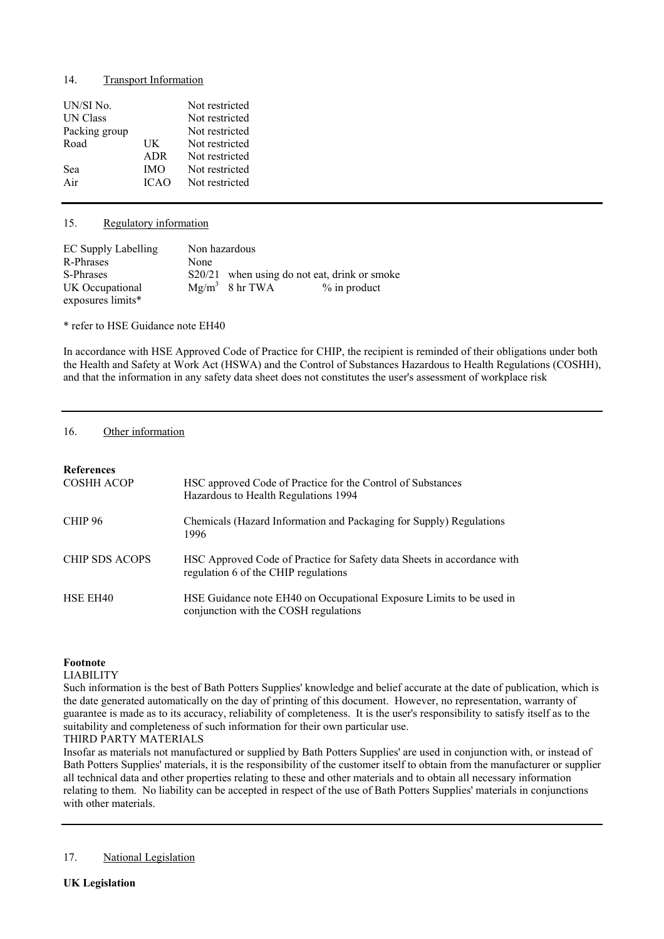#### 14. Transport Information

| UN/SI No.<br>UN Class |             | Not restricted<br>Not restricted |
|-----------------------|-------------|----------------------------------|
| Packing group         |             | Not restricted                   |
| Road                  | UK          | Not restricted                   |
|                       | ADR         | Not restricted                   |
| Sea                   | <b>IMO</b>  | Not restricted                   |
| Air                   | <b>ICAO</b> | Not restricted                   |
|                       |             |                                  |

#### 15. Regulatory information

| <b>EC Supply Labelling</b> | Non hazardous |                   |                                              |
|----------------------------|---------------|-------------------|----------------------------------------------|
| R-Phrases                  | None          |                   |                                              |
| S-Phrases                  |               |                   | S20/21 when using do not eat, drink or smoke |
| UK Occupational            |               | $Mg/m^3$ 8 hr TWA | $\%$ in product                              |
| exposures limits*          |               |                   |                                              |

\* refer to HSE Guidance note EH40

In accordance with HSE Approved Code of Practice for CHIP, the recipient is reminded of their obligations under both the Health and Safety at Work Act (HSWA) and the Control of Substances Hazardous to Health Regulations (COSHH), and that the information in any safety data sheet does not constitutes the user's assessment of workplace risk

#### 16. Other information

| <b>References</b><br><b>COSHH ACOP</b> | HSC approved Code of Practice for the Control of Substances<br>Hazardous to Health Regulations 1994             |
|----------------------------------------|-----------------------------------------------------------------------------------------------------------------|
| CHIP <sub>96</sub>                     | Chemicals (Hazard Information and Packaging for Supply) Regulations<br>1996                                     |
| <b>CHIP SDS ACOPS</b>                  | HSC Approved Code of Practice for Safety data Sheets in accordance with<br>regulation 6 of the CHIP regulations |
| HSE EH <sub>40</sub>                   | HSE Guidance note EH40 on Occupational Exposure Limits to be used in<br>conjunction with the COSH regulations   |

#### **Footnote**

#### LIABILITY

Such information is the best of Bath Potters Supplies' knowledge and belief accurate at the date of publication, which is the date generated automatically on the day of printing of this document. However, no representation, warranty of guarantee is made as to its accuracy, reliability of completeness. It is the user's responsibility to satisfy itself as to the suitability and completeness of such information for their own particular use.

#### THIRD PARTY MATERIALS

Insofar as materials not manufactured or supplied by Bath Potters Supplies' are used in conjunction with, or instead of Bath Potters Supplies' materials, it is the responsibility of the customer itself to obtain from the manufacturer or supplier all technical data and other properties relating to these and other materials and to obtain all necessary information relating to them. No liability can be accepted in respect of the use of Bath Potters Supplies' materials in conjunctions with other materials.

#### 17. National Legislation